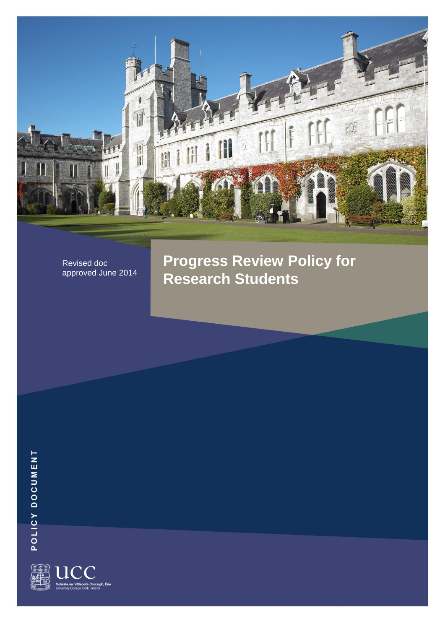

Revised doc approved June 2014 **Progress Review Policy for Research Students**

POLICY DOCUMENT

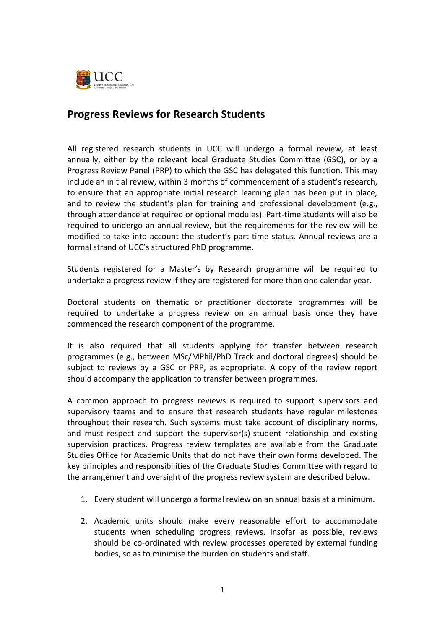

## **Progress Reviews for Research Students**

All registered research students in UCC will undergo a formal review, at least annually, either by the relevant local Graduate Studies Committee (GSC), or by a Progress Review Panel (PRP) to which the GSC has delegated this function. This may include an initial review, within 3 months of commencement of a student's research, to ensure that an appropriate initial research learning plan has been put in place, and to review the student's plan for training and professional development (e.g., through attendance at required or optional modules). Part-time students will also be required to undergo an annual review, but the requirements for the review will be modified to take into account the student's part-time status. Annual reviews are a formal strand of UCC's structured PhD programme.

Students registered for a Master's by Research programme will be required to undertake a progress review if they are registered for more than one calendar year.

Doctoral students on thematic or practitioner doctorate programmes will be required to undertake a progress review on an annual basis once they have commenced the research component of the programme.

It is also required that all students applying for transfer between research programmes (e.g., between MSc/MPhil/PhD Track and doctoral degrees) should be subject to reviews by a GSC or PRP, as appropriate. A copy of the review report should accompany the application to transfer between programmes.

A common approach to progress reviews is required to support supervisors and supervisory teams and to ensure that research students have regular milestones throughout their research. Such systems must take account of disciplinary norms, and must respect and support the supervisor(s)-student relationship and existing supervision practices. Progress review templates are available from the Graduate Studies Office for Academic Units that do not have their own forms developed. The key principles and responsibilities of the Graduate Studies Committee with regard to the arrangement and oversight of the progress review system are described below.

- 1. Every student will undergo a formal review on an annual basis at a minimum.
- 2. Academic units should make every reasonable effort to accommodate students when scheduling progress reviews. Insofar as possible, reviews should be co-ordinated with review processes operated by external funding bodies, so as to minimise the burden on students and staff.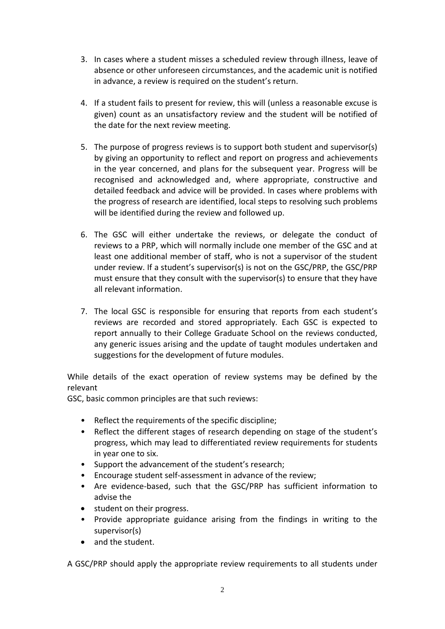- 3. In cases where a student misses a scheduled review through illness, leave of absence or other unforeseen circumstances, and the academic unit is notified in advance, a review is required on the student's return.
- 4. If a student fails to present for review, this will (unless a reasonable excuse is given) count as an unsatisfactory review and the student will be notified of the date for the next review meeting.
- 5. The purpose of progress reviews is to support both student and supervisor(s) by giving an opportunity to reflect and report on progress and achievements in the year concerned, and plans for the subsequent year. Progress will be recognised and acknowledged and, where appropriate, constructive and detailed feedback and advice will be provided. In cases where problems with the progress of research are identified, local steps to resolving such problems will be identified during the review and followed up.
- 6. The GSC will either undertake the reviews, or delegate the conduct of reviews to a PRP, which will normally include one member of the GSC and at least one additional member of staff, who is not a supervisor of the student under review. If a student's supervisor(s) is not on the GSC/PRP, the GSC/PRP must ensure that they consult with the supervisor(s) to ensure that they have all relevant information.
- 7. The local GSC is responsible for ensuring that reports from each student's reviews are recorded and stored appropriately. Each GSC is expected to report annually to their College Graduate School on the reviews conducted, any generic issues arising and the update of taught modules undertaken and suggestions for the development of future modules.

While details of the exact operation of review systems may be defined by the relevant

GSC, basic common principles are that such reviews:

- Reflect the requirements of the specific discipline;
- Reflect the different stages of research depending on stage of the student's progress, which may lead to differentiated review requirements for students in year one to six.
- Support the advancement of the student's research;
- Encourage student self-assessment in advance of the review;
- Are evidence-based, such that the GSC/PRP has sufficient information to advise the
- student on their progress.
- Provide appropriate guidance arising from the findings in writing to the supervisor(s)
- and the student.

A GSC/PRP should apply the appropriate review requirements to all students under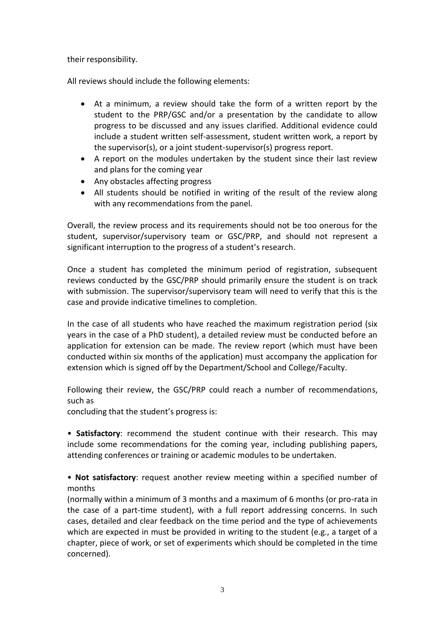their responsibility.

All reviews should include the following elements:

- At a minimum, a review should take the form of a written report by the student to the PRP/GSC and/or a presentation by the candidate to allow progress to be discussed and any issues clarified. Additional evidence could include a student written self-assessment, student written work, a report by the supervisor(s), or a joint student-supervisor(s) progress report.
- A report on the modules undertaken by the student since their last review and plans for the coming year
- Any obstacles affecting progress
- All students should be notified in writing of the result of the review along with any recommendations from the panel.

Overall, the review process and its requirements should not be too onerous for the student, supervisor/supervisory team or GSC/PRP, and should not represent a significant interruption to the progress of a student's research.

Once a student has completed the minimum period of registration, subsequent reviews conducted by the GSC/PRP should primarily ensure the student is on track with submission. The supervisor/supervisory team will need to verify that this is the case and provide indicative timelines to completion.

In the case of all students who have reached the maximum registration period (six years in the case of a PhD student), a detailed review must be conducted before an application for extension can be made. The review report (which must have been conducted within six months of the application) must accompany the application for extension which is signed off by the Department/School and College/Faculty.

Following their review, the GSC/PRP could reach a number of recommendations, such as

concluding that the student's progress is:

• **Satisfactory**: recommend the student continue with their research. This may include some recommendations for the coming year, including publishing papers, attending conferences or training or academic modules to be undertaken.

• **Not satisfactory**: request another review meeting within a specified number of months

(normally within a minimum of 3 months and a maximum of 6 months (or pro-rata in the case of a part-time student), with a full report addressing concerns. In such cases, detailed and clear feedback on the time period and the type of achievements which are expected in must be provided in writing to the student (e.g., a target of a chapter, piece of work, or set of experiments which should be completed in the time concerned).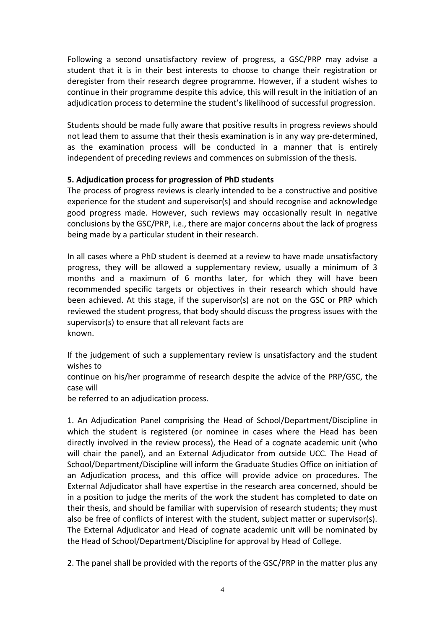Following a second unsatisfactory review of progress, a GSC/PRP may advise a student that it is in their best interests to choose to change their registration or deregister from their research degree programme. However, if a student wishes to continue in their programme despite this advice, this will result in the initiation of an adjudication process to determine the student's likelihood of successful progression.

Students should be made fully aware that positive results in progress reviews should not lead them to assume that their thesis examination is in any way pre-determined, as the examination process will be conducted in a manner that is entirely independent of preceding reviews and commences on submission of the thesis.

## **5. Adjudication process for progression of PhD students**

The process of progress reviews is clearly intended to be a constructive and positive experience for the student and supervisor(s) and should recognise and acknowledge good progress made. However, such reviews may occasionally result in negative conclusions by the GSC/PRP, i.e., there are major concerns about the lack of progress being made by a particular student in their research.

In all cases where a PhD student is deemed at a review to have made unsatisfactory progress, they will be allowed a supplementary review, usually a minimum of 3 months and a maximum of 6 months later, for which they will have been recommended specific targets or objectives in their research which should have been achieved. At this stage, if the supervisor(s) are not on the GSC or PRP which reviewed the student progress, that body should discuss the progress issues with the supervisor(s) to ensure that all relevant facts are known.

If the judgement of such a supplementary review is unsatisfactory and the student wishes to

continue on his/her programme of research despite the advice of the PRP/GSC, the case will

be referred to an adjudication process.

1. An Adjudication Panel comprising the Head of School/Department/Discipline in which the student is registered (or nominee in cases where the Head has been directly involved in the review process), the Head of a cognate academic unit (who will chair the panel), and an External Adjudicator from outside UCC. The Head of School/Department/Discipline will inform the Graduate Studies Office on initiation of an Adjudication process, and this office will provide advice on procedures. The External Adjudicator shall have expertise in the research area concerned, should be in a position to judge the merits of the work the student has completed to date on their thesis, and should be familiar with supervision of research students; they must also be free of conflicts of interest with the student, subject matter or supervisor(s). The External Adjudicator and Head of cognate academic unit will be nominated by the Head of School/Department/Discipline for approval by Head of College.

2. The panel shall be provided with the reports of the GSC/PRP in the matter plus any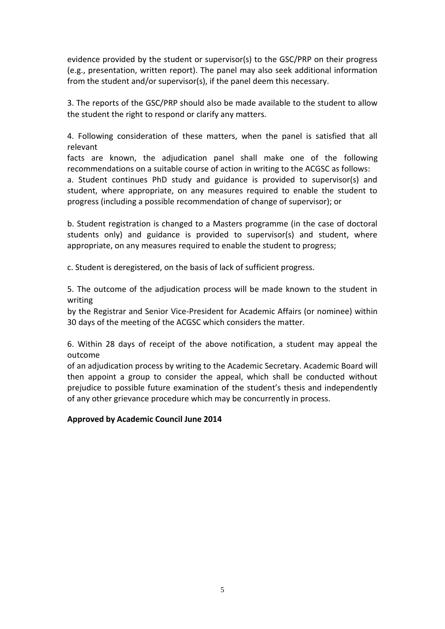evidence provided by the student or supervisor(s) to the GSC/PRP on their progress (e.g., presentation, written report). The panel may also seek additional information from the student and/or supervisor(s), if the panel deem this necessary.

3. The reports of the GSC/PRP should also be made available to the student to allow the student the right to respond or clarify any matters.

4. Following consideration of these matters, when the panel is satisfied that all relevant

facts are known, the adjudication panel shall make one of the following recommendations on a suitable course of action in writing to the ACGSC as follows: a. Student continues PhD study and guidance is provided to supervisor(s) and student, where appropriate, on any measures required to enable the student to progress (including a possible recommendation of change of supervisor); or

b. Student registration is changed to a Masters programme (in the case of doctoral students only) and guidance is provided to supervisor(s) and student, where appropriate, on any measures required to enable the student to progress;

c. Student is deregistered, on the basis of lack of sufficient progress.

5. The outcome of the adjudication process will be made known to the student in writing

by the Registrar and Senior Vice-President for Academic Affairs (or nominee) within 30 days of the meeting of the ACGSC which considers the matter.

6. Within 28 days of receipt of the above notification, a student may appeal the outcome

of an adjudication process by writing to the Academic Secretary. Academic Board will then appoint a group to consider the appeal, which shall be conducted without prejudice to possible future examination of the student's thesis and independently of any other grievance procedure which may be concurrently in process.

## **Approved by Academic Council June 2014**